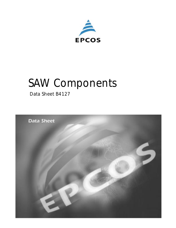

# *SAW Components*

 *Data Sheet B4127*

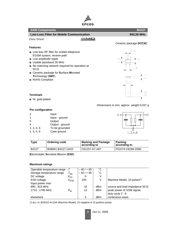

| <b>SAW Components</b>                                                                                                                                                                                                                                                        | <b>B4127</b>                          |
|------------------------------------------------------------------------------------------------------------------------------------------------------------------------------------------------------------------------------------------------------------------------------|---------------------------------------|
| <b>Low-Loss Filter for Mobile Communication</b>                                                                                                                                                                                                                              | 942,50 MHz                            |
| <b>Data Sheet</b>                                                                                                                                                                                                                                                            |                                       |
|                                                                                                                                                                                                                                                                              | Ceramic package DCC6C                 |
| <b>Features</b>                                                                                                                                                                                                                                                              |                                       |
| • Low-loss RF filter for mobile telephone<br>EGSM system, receive path<br>Low amplitude ripple<br>Usable passband 35 MHz<br>No matching network required for operation at<br>$50 \Omega$<br>Ceramic package for Surface Mounted<br>Technology (SMT)<br><b>RoHS Compliant</b> | O,6<br>3<br>and<br>8,<br>ਸ਼ਿਸ਼<br>3,0 |
| <b>Terminals</b>                                                                                                                                                                                                                                                             | М                                     |
| Ni, gold-plated                                                                                                                                                                                                                                                              |                                       |

## Dimensions in mm, approx. weight 0,037 g



### **Pin configuration**

| 2          | Input           |
|------------|-----------------|
| 1          | Input - ground  |
| 5          | Output          |
| 4          | Output - ground |
| 1, 3, 4, 6 | To be grounded  |
| 1, 3, 4, 6 | Case ground     |

| Type  | <b>Ordering code</b> | <b>Marking and Package</b><br>according to | ∣ Packing<br>according to |
|-------|----------------------|--------------------------------------------|---------------------------|
| B4127 | B39941-B4127-U410    | C61157-A7-A67                              | F61074-V8168-Z000         |

**E**lectrostatic **S**ensitive **D**evice (**ESD**)

#### **Maximum ratings**

| Operable temperature range |                             | $-40/+85$   | °С           |                                        |
|----------------------------|-----------------------------|-------------|--------------|----------------------------------------|
| Storage temperature range  | $\tau_{\text{stg}}$         | $-40/ + 85$ | $^{\circ}$ C |                                        |
| DC voltage                 | V <sub>DC</sub>             |             | V            |                                        |
| ESD voltage                | $\mathsf{V}_{\mathsf{ESD}}$ | 100         | ٧            | Machine Model, 10 pulses <sup>1)</sup> |
| Input power max            |                             |             |              |                                        |
| 890915 MHz                 |                             | 16          | dBm          | source and load impedance 50 $\Omega$  |
| 17101785 MHz               | $P_{IN}$                    | 13          | dBm          | peak power of GSM signal,              |
|                            |                             |             |              | duty cycle $2:8$                       |
| elsewhere                  |                             | 5           | dBm          | continuous wave                        |

1) acc. to JESD22-A115A (Machine Model), 10 negative & 10 positive pulses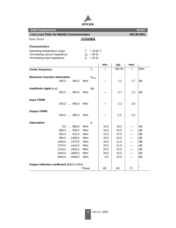

| <b>SAW Components</b><br><b>B4127</b>                         |                    |        |                               |            |
|---------------------------------------------------------------|--------------------|--------|-------------------------------|------------|
| <b>Low-Loss Filter for Mobile Communication</b><br>942,50 MHz |                    |        |                               |            |
| $=$ M $=$<br><b>Data Sheet</b>                                |                    |        |                               |            |
|                                                               |                    |        |                               |            |
| <b>Characteristics</b>                                        |                    |        |                               |            |
| Operating temperature range:<br>$\tau$                        | $=25\pm2^{\circ}C$ |        |                               |            |
| Terminating source impedance:<br>$Z_{\rm S} = 50 \Omega$      |                    |        |                               |            |
| Terminating load impedance:<br>$Z_1 = 50 \Omega$              |                    |        |                               |            |
|                                                               | min.               | typ.   | max.                          |            |
| $f_{\rm c}$<br><b>Center frequency</b>                        |                    | 942,50 |                               | <b>MHz</b> |
|                                                               |                    |        |                               |            |
| <b>Maximum insertion attenuation</b><br>$\alpha_{\text{max}}$ |                    |        |                               |            |
| 925,0  960,0<br>MHz                                           |                    | 2,2    | 2,7                           | dВ         |
|                                                               |                    |        |                               |            |
| Amplitude ripple (p-p)<br>$\Delta \alpha$                     |                    |        |                               |            |
| <b>MHz</b><br>925,0  960,0                                    |                    | 0,7    | 1,2                           | dВ         |
|                                                               |                    |        |                               |            |
| <b>Input VSWR</b>                                             |                    |        |                               |            |
| 925,0  960,0<br><b>MHz</b>                                    |                    | 2,3    | 2,5                           |            |
|                                                               |                    |        |                               |            |
| <b>Output VSWR</b><br>925,0  960,0<br><b>MHz</b>              |                    | 2,3    | 2,5                           |            |
|                                                               |                    |        |                               |            |
| <b>Attenuation</b><br>$\alpha$                                |                    |        |                               |            |
| $0,0$ 880,0<br><b>MHz</b>                                     | 18,0               | 19,5   |                               | dВ         |
| 880,0  905,0<br>MHz                                           | 18,0               | 25,0   |                               | dB         |
| 905,0  915,0<br><b>MHz</b>                                    | 15,0               | 21,0   | $\overline{\phantom{0}}$      | dB         |
| 980,0  1005,0<br>MHz                                          | 20,0               | 25,5   | —                             | dВ         |
| 1005,0  1375,0<br><b>MHz</b>                                  | 18,0               | 21,0   | —                             | dB         |
| 1375,0  1410,0<br><b>MHz</b>                                  | 20,0               | 21,5   | $\overbrace{\phantom{13333}}$ | dB         |
| 1410,0  1645,0<br><b>MHz</b>                                  | 20,0               | 22,5   | $\qquad \qquad$               | dB         |
| 3000,0<br><b>MHz</b><br>1645,0                                | 20,0               | 22,5   | —                             | dB         |
| 3000,0<br>4008,0<br><b>MHz</b>                                | 8,0                | 14,0   |                               | dB         |
|                                                               |                    |        |                               |            |
| Output reflection coefficient @942,5 MHz<br>Phase             | -95                | $-83$  | $-71$                         | $\circ$    |
|                                                               |                    |        |                               |            |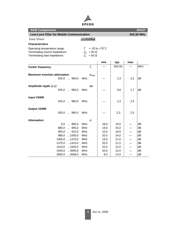

| <b>SAW Components</b>                                                                        |                                                                                       |      |        |      | B4127      |
|----------------------------------------------------------------------------------------------|---------------------------------------------------------------------------------------|------|--------|------|------------|
| <b>Low-Loss Filter for Mobile Communication</b>                                              |                                                                                       |      |        |      | 942,50 MHz |
| <b>Data Sheet</b>                                                                            | 5 M O                                                                                 |      |        |      |            |
| <b>Characteristics</b>                                                                       |                                                                                       |      |        |      |            |
| Operating temperature range:<br>Terminating source impedance:<br>Terminating load impedance: | $T = -20$ to $+75^{\circ}$ C<br>$Z_{\rm S} = 50 \Omega$<br>$Z_{\text{I}} = 50 \Omega$ |      |        |      |            |
|                                                                                              |                                                                                       | min. | typ.   | max. |            |
| <b>Center frequency</b>                                                                      | $f_{\rm c}$                                                                           |      | 942,50 |      | <b>MHz</b> |
| <b>Maximum insertion attenuation</b><br>925,0  960,0                                         | $\alpha_{\text{max}}$<br><b>MHz</b>                                                   |      | 2,3    | 3,2  | dB         |
| Amplitude ripple (p-p)<br>925,0  960,0                                                       | $\Delta \alpha$<br>MHz                                                                |      | 0,8    | 1,7  | dB         |
| <b>Input VSWR</b><br>925,0  960,0 MHz                                                        |                                                                                       |      | 2,3    | 2,5  |            |
| <b>Output VSWR</b><br>925,0  960,0                                                           | MHz                                                                                   |      | 2,3    | 2,5  |            |
| <b>Attenuation</b>                                                                           | α                                                                                     |      |        |      |            |

# **4** Oct 11, 2005

0,0 ... 880,0 MHz  $|$  18,0 19,5  $-$  dB 880,0 ... 905,0 MHz 18,0 25,0 - dB

905,0 ... 915,0 MHz<br>
980,0 ...1005,0 MHz<br>
1005,0 ...1375,0 MHz<br>
1375,0 ...1410,0 MHz<br>
1375,0 ...1410,0 MHz<br>
1410,0 ...1645,0 MHz<br>
1645,0 ...3000,0 MHz<br>
1645,0 ...3000,0 MHz<br>
1600,0 4008,0 MHz<br>
18,0 22,0 – dB<br>
1685,0 ...30

980,0 ...1005,0 MHz 20,0 24,0 — dB 1005,0 ...1375,0 MHz 18,0 21,0 - dB 1375,0 ...1410,0 MHz 20,0 21,5 - dB 1410,0 ...1645,0 MHz 20,0 22,0 - dB 1645,0 ...3000,0 MHz 20,0 22,0 - dB  $3000,0$  ...4008,0 MHz 8,0 14,0  $-$  dB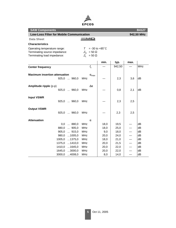

| <b>SAW Components</b>                                                                        |                                                                   |                            |        |      | <b>B4127</b> |
|----------------------------------------------------------------------------------------------|-------------------------------------------------------------------|----------------------------|--------|------|--------------|
| <b>Low-Loss Filter for Mobile Communication</b>                                              |                                                                   |                            |        |      | 942,50 MHz   |
| <b>Data Sheet</b>                                                                            | smo                                                               |                            |        |      |              |
| <b>Characteristics</b>                                                                       |                                                                   |                            |        |      |              |
| Operating temperature range:<br>Terminating source impedance:<br>Terminating load impedance: | $\tau$<br>$Z_{\rm S} = 50 \Omega$<br>$Z_{\rm L}$<br>$= 50 \Omega$ | $= -30$ to $+85^{\circ}$ C |        |      |              |
|                                                                                              |                                                                   | min.                       | typ.   | max. |              |
| <b>Center frequency</b>                                                                      | $f_{\rm c}$                                                       |                            | 942,50 |      | <b>MHz</b>   |
| <b>Maximum insertion attenuation</b><br>925,0  960,0                                         | $\alpha_{\text{max}}$<br><b>MHz</b>                               |                            | 2,3    | 3,6  | dB           |
| Amplitude ripple (p-p)<br>925,0  960,0                                                       | $\Delta \alpha$<br><b>MHz</b>                                     |                            | 0,8    | 2,1  | dB           |
| <b>Input VSWR</b><br>925,0  960,0                                                            | <b>MHz</b>                                                        |                            | 2,3    | 2,5  |              |
| <b>Output VSWR</b><br>925,0  960,0                                                           | <b>MHz</b>                                                        |                            | 2,3    | 2,5  |              |
| <b>Attenuation</b><br>$0,0$ 880,0                                                            | $\alpha$<br><b>MHz</b>                                            | 18,0                       | 19,5   |      | dВ           |
| 880,0  905,0                                                                                 | <b>MHz</b>                                                        | 18,0                       | 25,0   |      | dB           |
| 905,0  915,0                                                                                 | MHz                                                               | 9,0                        | 18,0   |      | dВ           |
| 980,0  1005,0                                                                                | <b>MHz</b>                                                        | 20,0                       | 24,0   |      | dB           |

1005,0 ...1375,0 MHz | 18,0 21,0 | — dB 1375,0 ...1410,0 MHz  $\begin{vmatrix} 20.0 & 21.5 \end{vmatrix}$  - dB 1410,0 ...1645,0 MHz  $\begin{vmatrix} 20.0 & 22.0 \ 1645.0 & ..3000.0 \end{vmatrix}$  MHz  $\begin{vmatrix} 20.0 & 22.0 \ 20.0 & 22.0 \end{vmatrix}$   $\begin{vmatrix} -1 & 0 \ -1 & 0 \end{vmatrix}$  dB 1645,0 ...3000,0 MHz 20,0 22,0 - dB  $3000,0$  ...4008,0 MHz 8,0 14,0  $-$  dB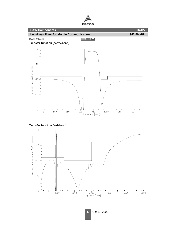

**Transfer function** (wideband)